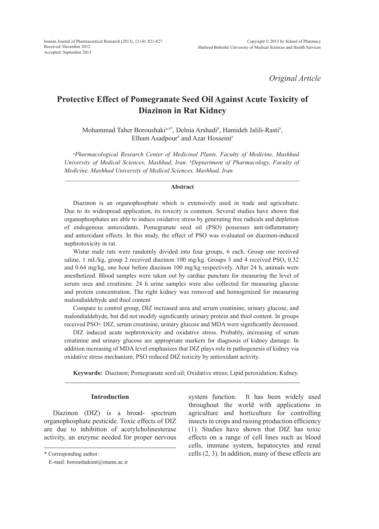*Original Article*

# **Protective Effect of Pomegranate Seed Oil Against Acute Toxicity of Diazinon in Rat Kidney**

Mohammad Taher Boroushaki*a,b\**, Delnia Arshadi*<sup>b</sup>* , Hamideh Jalili-Rasti*<sup>b</sup>* , Elham Asadpour*<sup>b</sup>* and Azar Hosseini*<sup>a</sup>*

*a Pharmacological Research Center of Medicinal Plants, Faculty of Medicine, Mashhad University of Medical Sciences, Mashhad, Iran. b Deptartment of Pharmacology, Faculty of Medicine, Mashhad University of Medical Sciences, Mashhad, Iran.* 

#### **Abstract**

Diazinon is an organophosphate which is extensively used in trade and agriculture. Due to its widespread application, its toxicity is common. Several studies have shown that organophosphates are able to induce oxidative stress by generating free radicals and depletion of endogenous antioxidants. Pomegranate seed oil (PSO) possesses anti-inflammatory and antioxidant effects. In this study, the effect of PSO was evaluated on diazinon-induced nephrotoxicity in rat.

Wistar male rats were randomly divided into four groups, 6 each. Group one received saline, 1 mL/kg, group 2 received diazinon 100 mg/kg. Groups 3 and 4 received PSO, 0.32 and 0.64 mg/kg, one hour before diazinon 100 mg/kg respectively. After 24 h, animals were anesthetized. Blood samples were taken out by cardiac puncture for measuring the level of serum urea and creatinine. 24 h urine samples were also collected for measuring glucose and protein concentration. The right kidney was removed and homogenized for measuring malondialdehyde and thiol content

Compare to control group, DIZ increased urea and serum creatinine, urinary glucose, and malondialdehyde, but did not modify significantly urinary protein and thiol content. In groups received PSO+ DIZ, serum creatinine, urinary glucose and MDA were significantly decreased.

DIZ induced acute nephrotoxicity and oxidative stress. Probably, increasing of serum creatinine and urinary glucose are appropriate markers for diagnosis of kidney damage. In addition increasing of MDA level emphasizes that DIZ plays role in pathogenesis of kidney via oxidative stress mechanism. PSO reduced DIZ toxicity by antioxidant activity.

**Keywords:** Diazinon; Pomegranate seed oil; Oxidative stress; Lipid peroxidation; Kidney.

## **Introduction**

Diazinon (DIZ) is a broad- spectrum organophosphate pesticide. Toxic effects of DIZ are due to inhibition of acetylcholinesterase activity, an enzyme needed for proper nervous system function. It has been widely used throughout the world with applications in agriculture and horticulture for controlling insects in crops and raising production efficiency (1). Studies have shown that DIZ has toxic effects on a range of cell lines such as blood cells, immune system, hepatocytes and renal cells (2, 3). In addition, many of these effects are

<sup>\*</sup> Corresponding author:

E-mail: boroushakimt@mums.ac.ir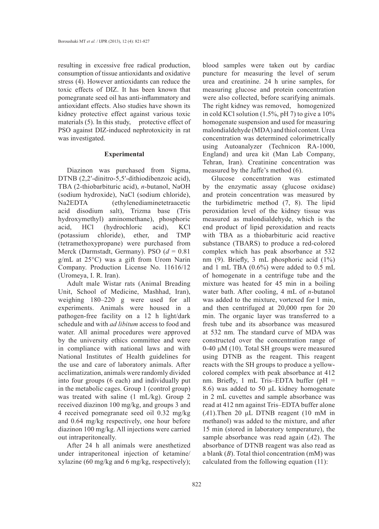resulting in excessive free radical production, consumption of tissue antioxidants and oxidative stress (4). However antioxidants can reduce the toxic effects of DIZ. It has been known that pomegranate seed oil has anti-inflammatory and antioxidant effects. Also studies have shown its kidney protective effect against various toxic materials (5). In this study, protective effect of PSO against DIZ-induced nephrotoxicity in rat was investigated.

### **Experimental**

Diazinon was purchased from Sigma, DTNB (2,2'-dinitro-5,5'-dithiodibenzoic acid), TBA (2-thiobarbituric acid), *n*-butanol, NaOH (sodium hydroxide), NaCl (sodium chloride), Na2EDTA (ethylenediaminetetraacetic acid disodium salt), Trizma base (Tris hydroxymethyl) aminomethane), phosphoric acid, HCl (hydrochloric acid), KCl (potassium chloride), ether, and TMP (tetramethoxypropane) were purchased from Merck (Darmstadt, Germany). PSO (*d* = 0.81 g/mL at 25°C) was a gift from Urom Narin Company. Production License No. 11616/12 (Uromeya, I. R. Iran).

Adult male Wistar rats (Animal Breading Unit, School of Medicine, Mashhad, Iran), weighing 180–220 g were used for all experiments. Animals were housed in a pathogen-free facility on a 12 h light/dark schedule and with *ad libitum* access to food and water. All animal procedures were approved by the university ethics committee and were in compliance with national laws and with National Institutes of Health guidelines for the use and care of laboratory animals. After acclimatization, animals were randomly divided into four groups (6 each) and individually put in the metabolic cages. Group 1 (control group) was treated with saline (1 mL/kg). Group 2 received diazinon 100 mg/kg, and groups 3 and 4 received pomegranate seed oil 0.32 mg/kg and 0.64 mg/kg respectively, one hour before diazinon 100 mg/kg. All injections were carried out intraperitoneally.

After 24 h all animals were anesthetized under intraperitoneal injection of ketamine/ xylazine (60 mg/kg and 6 mg/kg, respectively); blood samples were taken out by cardiac puncture for measuring the level of serum urea and creatinine. 24 h urine samples, for measuring glucose and protein concentration were also collected, before scarifying animals. The right kidney was removed, homogenized in cold KCl solution  $(1.5\%, pH 7)$  to give a  $10\%$ homogenate suspension and used for measuring malondialdehyde (MDA) and thiol content. Urea concentration was determined colorimetrically using Autoanalyzer (Technicon RA-1000, England) and urea kit (Man Lab Company, Tehran, Iran). Creatinine concentration was measured by the Jaffe's method (6).

Glucose concentration was estimated by the enzymatic assay (glucose oxidase) and protein concentration was measured by the turbidimetric method (7, 8). The lipid peroxidation level of the kidney tissue was measured as malondialdehyde, which is the end product of lipid peroxidation and reacts with TBA as a thiobarbituric acid reactive substance (TBARS) to produce a red-colored complex which has peak absorbance at 532 nm (9). Briefly, 3 mL phosphoric acid (1%) and 1 mL TBA (0.6%) were added to 0.5 mL of homogenate in a centrifuge tube and the mixture was heated for 45 min in a boiling water bath. After cooling, 4 mL of *n*-butanol was added to the mixture, vortexed for 1 min, and then centrifuged at 20,000 rpm for 20 min. The organic layer was transferred to a fresh tube and its absorbance was measured at 532 nm. The standard curve of MDA was constructed over the concentration range of 0-40 μM (10). Total SH groups were measured using DTNB as the reagent. This reagent reacts with the SH groups to produce a yellowcolored complex with peak absorbance at 412 nm. Briefly, 1 mL Tris–EDTA buffer (pH = 8.6) was added to 50 μL kidney homogenate in 2 mL cuvettes and sample absorbance was read at 412 nm against Tris–EDTA buffer alone (*A*1).Then 20 μL DTNB reagent (10 mM in methanol) was added to the mixture, and after 15 min (stored in laboratory temperature), the sample absorbance was read again (*A*2). The absorbance of DTNB reagent was also read as a blank (*B*). Total thiol concentration (mM) was calculated from the following equation (11):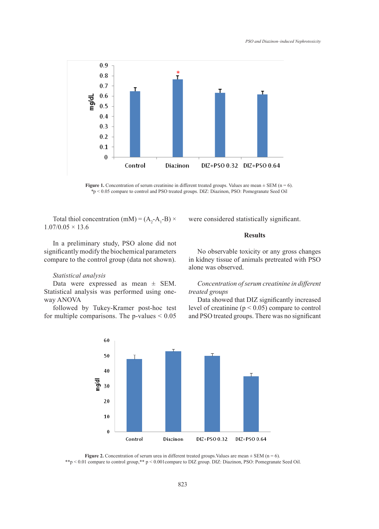

**Figure 1.** Concentration of serum creatinine in different treated groups. Values are mean  $\pm$  SEM (n = 6). *\**p < 0.05 compare to control and PSO treated groups. DIZ: Diazinon, PSO: Pomegranate Seed Oil

Total thiol concentration (mM) =  $(A_2-A_1-B) \times$  $1.07/0.05 \times 13.6$ 

In a preliminary study, PSO alone did not significantly modify the biochemical parameters compare to the control group (data not shown).

# *Statistical analysis*

Data were expressed as mean ± SEM. Statistical analysis was performed using oneway ANOVA

followed by Tukey-Kramer post-hoc test for multiple comparisons. The p-values  $\leq 0.05$  were considered statistically significant.

### **Results**

No observable toxicity or any gross changes in kidney tissue of animals pretreated with PSO alone was observed.

# *Concentration of serum creatinine in different treated groups*

Data showed that DIZ significantly increased level of creatinine ( $p < 0.05$ ) compare to control and PSO treated groups. There was no significant



**Figure 2.** Concentration of serum urea in different treated groups. Values are mean  $\pm$  SEM (n = 6). \*\*p < 0.01 compare to control group,\*\* p < 0.001compare to DIZ group. DIZ: Diazinon, PSO: Pomegranate Seed Oil.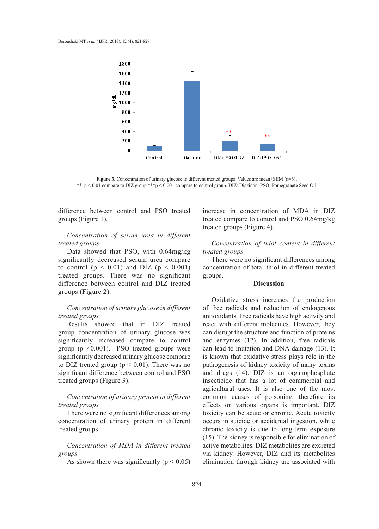

**Figure 3.** Concentration of urinary glucose in different treated groups. Values are mean±SEM (n=6). \*\* p < 0.01 compare to DIZ group \*\*\*p < 0.001 compare to control group. DIZ: Diazinon, PSO: Pomegranate Seed Oil

difference between control and PSO treated groups (Figure 1).

# *Concentration of serum urea in different treated groups*

Data showed that PSO, with 0.64mg/kg significantly decreased serum urea compare to control ( $p < 0.01$ ) and DIZ ( $p < 0.001$ ) treated groups. There was no significant difference between control and DIZ treated groups (Figure 2).

# *Concentration of urinary glucose in different treated groups*

Results showed that in DIZ treated group concentration of urinary glucose was significantly increased compare to control group ( $p \leq 0.001$ ). PSO treated groups were significantly decreased urinary glucose compare to DIZ treated group ( $p < 0.01$ ). There was no significant difference between control and PSO treated groups (Figure 3).

# *Concentration of urinary protein in different treated groups*

There were no significant differences among concentration of urinary protein in different treated groups.

*Concentration of MDA in different treated groups*

As shown there was significantly ( $p < 0.05$ )

increase in concentration of MDA in DIZ treated compare to control and PSO 0.64mg/kg treated groups (Figure 4).

*Concentration of thiol content in different treated groups*

There were no significant differences among concentration of total thiol in different treated groups.

### **Discussion**

Oxidative stress increases the production of free radicals and reduction of endogenous antioxidants. Free radicals have high activity and react with different molecules. However, they can disrupt the structure and function of proteins and enzymes (12). In addition, free radicals can lead to mutation and DNA damage (13). It is known that oxidative stress plays role in the pathogenesis of kidney toxicity of many toxins and drugs (14). DIZ is an organophosphate insecticide that has a lot of commercial and agricultural uses. It is also one of the most common causes of poisoning, therefore its effects on various organs is important. DIZ toxicity can be acute or chronic. Acute toxicity occurs in suicide or accidental ingestion, while chronic toxicity is due to long-term exposure (15). The kidney is responsible for elimination of active metabolites. DIZ metabolites are excreted via kidney. However, DIZ and its metabolites elimination through kidney are associated with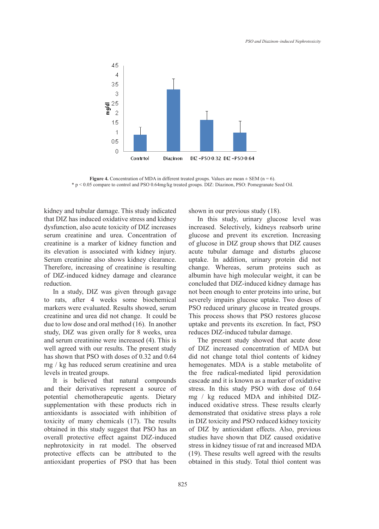

**Figure 4.** Concentration of MDA in different treated groups. Values are mean  $\pm$  SEM (n = 6). \* p < 0.05 compare to control and PSO 0.64mg/kg treated groups. DIZ: Diazinon, PSO: Pomegranate Seed Oil.

kidney and tubular damage. This study indicated that DIZ has induced oxidative stress and kidney dysfunction, also acute toxicity of DIZ increases serum creatinine and urea. Concentration of creatinine is a marker of kidney function and its elevation is associated with kidney injury. Serum creatinine also shows kidney clearance. Therefore, increasing of creatinine is resulting of DIZ-induced kidney damage and clearance reduction.

In a study, DIZ was given through gavage to rats, after 4 weeks some biochemical markers were evaluated. Results showed, serum creatinine and urea did not change. It could be due to low dose and oral method (16). In another study, DIZ was given orally for 8 weeks, urea and serum creatinine were increased (4). This is well agreed with our results. The present study has shown that PSO with doses of 0.32 and 0.64 mg / kg has reduced serum creatinine and urea levels in treated groups.

It is believed that natural compounds and their derivatives represent a source of potential chemotherapeutic agents. Dietary supplementation with these products rich in antioxidants is associated with inhibition of toxicity of many chemicals (17). The results obtained in this study suggest that PSO has an overall protective effect against DIZ-induced nephrotoxicity in rat model. The observed protective effects can be attributed to the antioxidant properties of PSO that has been shown in our previous study (18).

In this study, urinary glucose level was increased. Selectively, kidneys reabsorb urine glucose and prevent its excretion. Increasing of glucose in DIZ group shows that DIZ causes acute tubular damage and disturbs glucose uptake. In addition, urinary protein did not change. Whereas, serum proteins such as albumin have high molecular weight, it can be concluded that DIZ-induced kidney damage has not been enough to enter proteins into urine, but severely impairs glucose uptake. Two doses of PSO reduced urinary glucose in treated groups. This process shows that PSO restores glucose uptake and prevents its excretion. In fact, PSO reduces DIZ-induced tubular damage.

The present study showed that acute dose of DIZ increased concentration of MDA but did not change total thiol contents of kidney hemogenates. MDA is a stable metabolite of the free radical-mediated lipid peroxidation cascade and it is known as a marker of oxidative stress. In this study PSO with dose of 0.64 mg / kg reduced MDA and inhibited DIZinduced oxidative stress. These results clearly demonstrated that oxidative stress plays a role in DIZ toxicity and PSO reduced kidney toxicity of DIZ by antioxidant effects. Also, previous studies have shown that DIZ caused oxidative stress in kidney tissue of rat and increased MDA (19). These results well agreed with the results obtained in this study. Total thiol content was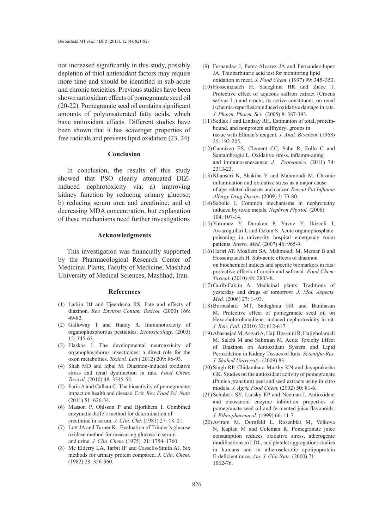not increased significantly in this study, possibly depletion of thiol antioxidant factors may require more time and should be identified in sub-acute and chronic toxicities. Previous studies have been shown antioxidant effects of pomegranate seed oil (20-22). Pomegranate seed oil contains significant amounts of polyunsaturated fatty acids, which have antioxidant effects. Different studies have been shown that it has scavenger properties of free radicals and prevents lipid oxidation (23, 24).

#### **Conclusion**

In conclusion, the results of this study showed that PSO clearly attenuated DIZinduced nephrotoxicity via; a) improving kidney function by reducing urinary glucose; b) reducing serum urea and creatinine; and c) decreasing MDA concentration, but explanation of these mechanisms need further investigations

## **Acknowledgments**

This investigation was financially supported by the Pharmacological Research Center of Medicinal Plants, Faculty of Medicine, Mashhad University of Medical Sciences, Mashhad, Iran.

#### **References**

- Larkin DJ and Tjeerdema RS. Fate and effects of (1) diazinon. *Rev. Environ Contam Toxicol.* (2000) 166: 49-82.
- (2) Galloway T and Handy R. Immunotoxicity of organophosphorous pesticides. *Ecotoxicology*. (2003) 12: 345-63.
- Flaskos J. The developmental neurotoxicity of (3) organophosphorus insecticides: a direct role for the oxon metabolites. *Toxicol. Lett*.( 2012) 209: 86-93.
- Shah MD and Iqbal M. Diazinon-induced oxidative (4) stress and renal dysfunction in rats. *Food Chem. Toxicol*. (2010) 48: 3345-53.
- Faria A and Calhau C. The bioactivity of pomegranate: (5) impact on health and disease. C*rit. Rev. Food Sci. Nutr.* (2011) 51: 626-34.
- Masson P, Ohlsson P and Bjorkhem I. Combined (6) enzymatic-Jaffe's method for determination of creatinine in serum. *J. Clin. Che*. (1981) 27: 18–21.
- Lott JA and Turner K. Evaluation of Trinder's glucose (7) oxidase method for measuring glucose in serum and urine. *J. Clin. Chem*. (1975) 21: 1754–1760.
- Mc Elderry LA, Tarbit IF and Cassells-Smith AJ. Six (8) methods for urinary protein compared. *J. Clin. Chem*. (1982) 28: 356-360.
- Fernandez J, Perez-Alvarez JA and Fernandez-lopez (9) JA. Thiobarbituric acid test for monitoring lipid oxidation in meat. *J. Food Chem*. (1997) 99: 345–353.
- $(10)$  Hosseinzadeh H, Sadeghnia HR and Ziaee T. Protective effect of aqueous saffron extract (Crocus sativus L.) and crocin, its active constituent, on renal ischemia-reperfusioninduced oxidative damage in rats. *J. Pharm. Pharm. Sci.* (2005) 8: 387-393.
- $(11)$  Sedlak J and Lindsay RH. Estimation of total, proteinbound, and nonprotein sulfhydryl groups in tissue with Ellman's reagent. *J. Anal. Biochem*. (1968) 25: 192-205.
- $(12)$  Cannizzo ES, Clement CC, Sahu R, Follo C and Santambrogio L. Oxidative stress, inflamm-aging and immunosenescence. *J. Proteomics*. (2011) 74: 2313-23.
- (13) Khansari N, Shakiba Y and Mahmoudi M. Chronic inflammation and oxidative stress as a major cause of age-related diseases and cancer. *Recent Pat Inflamm Allergy Drug Discov.* (2009) 3: 73-80.
- $(14)$  Sabolic I. Common mechanisms in nephropathy induced by toxic metals. *Nephron Physiol.* (2006) 104: 107-14.
- (15) Yurumez Y, Durukan P, Yavuz Y, Ikizceli I, Avsarogullari L and Ozkan S. Acute organophosphate poisoning in university hospital emergency room patients. *Intern. Med*. (2007) 46: 965-9.
- (16) Hariri AT, Moallem SA, Mahmoudi M, Memar B and Hosseinzadeh H. Sub-acute effects of diazinon on biochemical indices and specific biomarkers in rats: protective effects of crocin and safranal. *Food Chem. Toxicol*. (2010) 48: 2803-8.
- (17) Gurib-Fakim A. Medicinal plants: Traditions of yesterday and drugs of tomorrow. *J. Mol. Aspects. Med.* (2006) 27: 1–93.
- (18) Boroushaki MT, Sadeghnia HR and Banihasan M. Protective effect of pomegranate seed oil on Hexacholorobutadiene -induced nephrotoxicity in rat. *J. Ren. Fail.* (2010) 32: 612-617.
- Abasnejad M, Asgari A, Haji Hossaini R, Hajigholamali (19) M. Salehi M and Salimian M. Acute Toxicity Effect of Diazinon on Antioxidant System and Lipid Peroxidation in Kidney Tissues of Rats. *Scientific-Res. J. Shahed University*. (2009) 83.
- (20) Singh RP, Chidambara Murthy KN and Jayaprakasha GK. Studies on the antioxidant activity of pomegranate (Punica granatum) peel and seed extracts using in vitro models. *J. Agric Food Chem.* (2002) 50: 81-6.
- (21) Schubert SY, Lansky EP and Neeman I. Antioxidant and eicosanoid enzyme inhibition properties of pomegranate seed oil and fermented juice flavonoids. *J. Ethnopharmacol.* (1999) 66: 11-7.
- (22) Aviram M, Dornfeld L, Rosenblat M, Volkova N, Kaplan M and Coleman R. Pomegranate juice consumption reduces oxidative stress, atherogenic modifications to LDL, and platelet aggregation: studies in humans and in atherosclerotic apolipoprotein E-deficient mice. *Am. J. Clin Nutr*. (2000) 71: 1062-76.